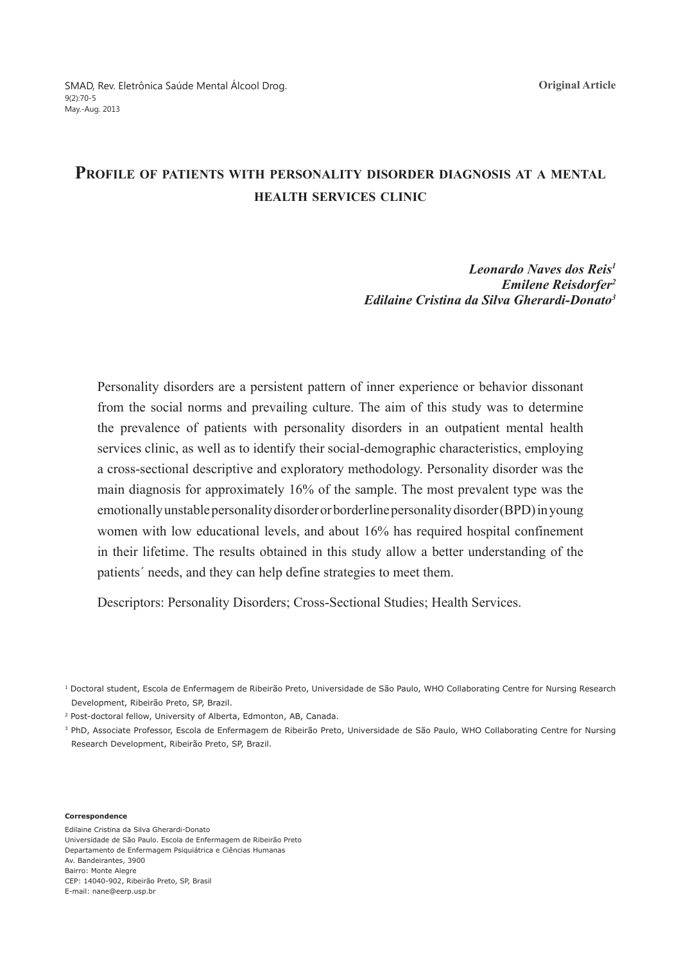# **Profile of patients with personality disorder diagnosis at a mental health services clinic**

### *Leonardo Naves dos Reis1 Emilene Reisdorfer2 Edilaine Cristina da Silva Gherardi-Donato3*

Personality disorders are a persistent pattern of inner experience or behavior dissonant from the social norms and prevailing culture. The aim of this study was to determine the prevalence of patients with personality disorders in an outpatient mental health services clinic, as well as to identify their social-demographic characteristics, employing a cross-sectional descriptive and exploratory methodology. Personality disorder was the main diagnosis for approximately 16% of the sample. The most prevalent type was the emotionally unstable personality disorder or borderline personality disorder (BPD) in young women with low educational levels, and about 16% has required hospital confinement in their lifetime. The results obtained in this study allow a better understanding of the patients´ needs, and they can help define strategies to meet them.

Descriptors: Personality Disorders; Cross-Sectional Studies; Health Services.

2 Post-doctoral fellow, University of Alberta, Edmonton, AB, Canada.

<sup>3</sup> PhD, Associate Professor, Escola de Enfermagem de Ribeirão Preto, Universidade de São Paulo, WHO Collaborating Centre for Nursing Research Development, Ribeirão Preto, SP, Brazil.

#### **Correspondence**

Edilaine Cristina da Silva Gherardi-Donato Universidade de São Paulo. Escola de Enfermagem de Ribeirão Preto Departamento de Enfermagem Psiquiátrica e Ciências Humanas Av. Bandeirantes, 3900 Bairro: Monte Alegre CEP: 14040-902, Ribeirão Preto, SP, Brasil E-mail: nane@eerp.usp.br

<sup>&</sup>lt;sup>1</sup> Doctoral student, Escola de Enfermagem de Ribeirão Preto, Universidade de São Paulo, WHO Collaborating Centre for Nursing Research Development, Ribeirão Preto, SP, Brazil.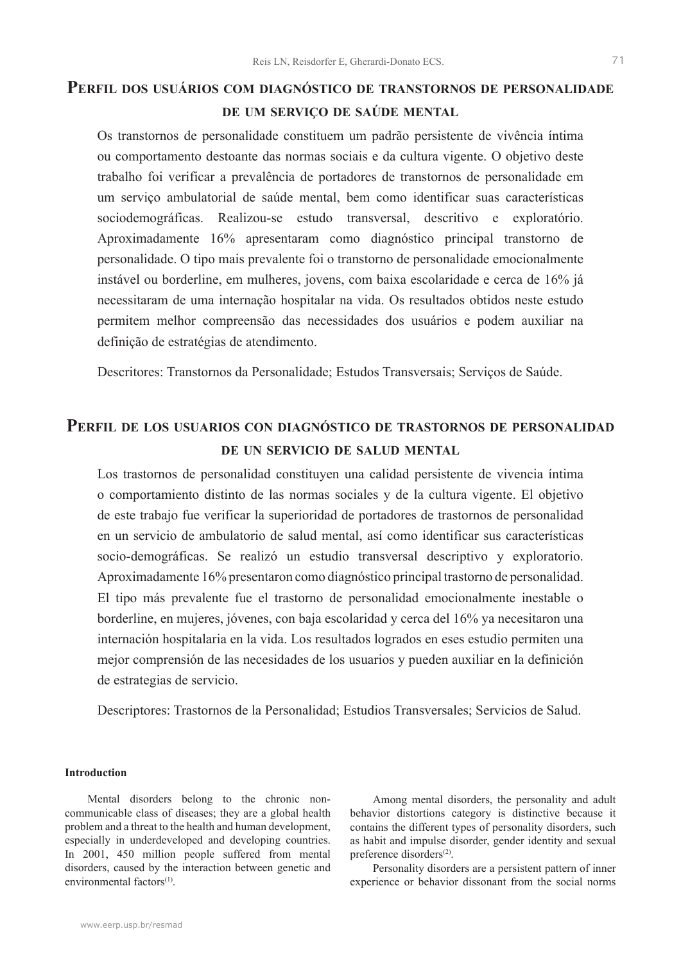## **Perfil dos usuários com diagnóstico de transtornos de personalidade de um serviço de saúde mental**

Os transtornos de personalidade constituem um padrão persistente de vivência íntima ou comportamento destoante das normas sociais e da cultura vigente. O objetivo deste trabalho foi verificar a prevalência de portadores de transtornos de personalidade em um serviço ambulatorial de saúde mental, bem como identificar suas características sociodemográficas. Realizou-se estudo transversal, descritivo e exploratório. Aproximadamente 16% apresentaram como diagnóstico principal transtorno de personalidade. O tipo mais prevalente foi o transtorno de personalidade emocionalmente instável ou borderline, em mulheres, jovens, com baixa escolaridade e cerca de 16% já necessitaram de uma internação hospitalar na vida. Os resultados obtidos neste estudo permitem melhor compreensão das necessidades dos usuários e podem auxiliar na definição de estratégias de atendimento.

Descritores: Transtornos da Personalidade; Estudos Transversais; Serviços de Saúde.

### **Perfil de los usuarios con diagnóstico de trastornos de personalidad de un servicio de salud mental**

Los trastornos de personalidad constituyen una calidad persistente de vivencia íntima o comportamiento distinto de las normas sociales y de la cultura vigente. El objetivo de este trabajo fue verificar la superioridad de portadores de trastornos de personalidad en un servicio de ambulatorio de salud mental, así como identificar sus características socio-demográficas. Se realizó un estudio transversal descriptivo y exploratorio. Aproximadamente 16% presentaron como diagnóstico principal trastorno de personalidad. El tipo más prevalente fue el trastorno de personalidad emocionalmente inestable o borderline, en mujeres, jóvenes, con baja escolaridad y cerca del 16% ya necesitaron una internación hospitalaria en la vida. Los resultados logrados en eses estudio permiten una mejor comprensión de las necesidades de los usuarios y pueden auxiliar en la definición de estrategias de servicio.

Descriptores: Trastornos de la Personalidad; Estudios Transversales; Servicios de Salud.

### **Introduction**

Mental disorders belong to the chronic noncommunicable class of diseases; they are a global health problem and a threat to the health and human development, especially in underdeveloped and developing countries. In 2001, 450 million people suffered from mental disorders, caused by the interaction between genetic and environmental factors<sup>(1)</sup>

Among mental disorders, the personality and adult behavior distortions category is distinctive because it contains the different types of personality disorders, such as habit and impulse disorder, gender identity and sexual preference disorders<sup>(2)</sup>.

Personality disorders are a persistent pattern of inner experience or behavior dissonant from the social norms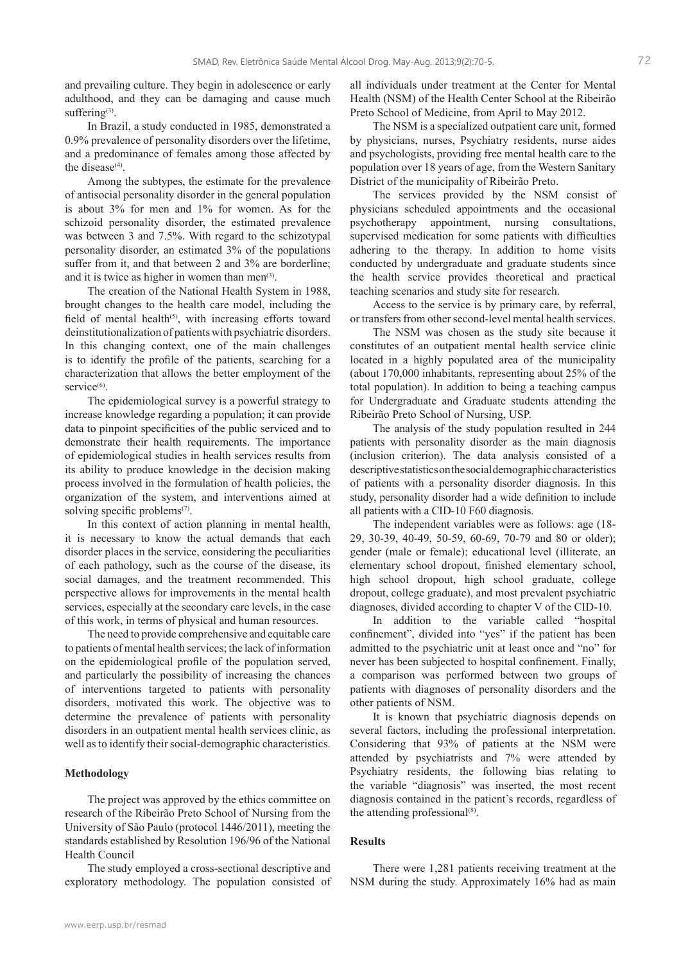and prevailing culture. They begin in adolescence or early adulthood, and they can be damaging and cause much suffering<sup>(3)</sup>.

In Brazil, a study conducted in 1985, demonstrated a 0.9% prevalence of personality disorders over the lifetime, and a predominance of females among those affected by the disease<sup>(4)</sup>.

Among the subtypes, the estimate for the prevalence of antisocial personality disorder in the general population is about 3% for men and 1% for women. As for the schizoid personality disorder, the estimated prevalence was between 3 and 7.5%. With regard to the schizotypal personality disorder, an estimated 3% of the populations suffer from it, and that between 2 and 3% are borderline; and it is twice as higher in women than men $(3)$ .

The creation of the National Health System in 1988, brought changes to the health care model, including the field of mental health<sup>(5)</sup>, with increasing efforts toward deinstitutionalization of patients with psychiatric disorders. In this changing context, one of the main challenges is to identify the profile of the patients, searching for a characterization that allows the better employment of the service<sup>(6)</sup>.

The epidemiological survey is a powerful strategy to increase knowledge regarding a population; it can provide data to pinpoint specificities of the public serviced and to demonstrate their health requirements. The importance of epidemiological studies in health services results from its ability to produce knowledge in the decision making process involved in the formulation of health policies, the organization of the system, and interventions aimed at solving specific problems $(7)$ .

In this context of action planning in mental health, it is necessary to know the actual demands that each disorder places in the service, considering the peculiarities of each pathology, such as the course of the disease, its social damages, and the treatment recommended. This perspective allows for improvements in the mental health services, especially at the secondary care levels, in the case of this work, in terms of physical and human resources.

The need to provide comprehensive and equitable care to patients of mental health services; the lack of information on the epidemiological profile of the population served, and particularly the possibility of increasing the chances of interventions targeted to patients with personality disorders, motivated this work. The objective was to determine the prevalence of patients with personality disorders in an outpatient mental health services clinic, as well as to identify their social-demographic characteristics.

#### **Methodology**

The project was approved by the ethics committee on research of the Ribeirão Preto School of Nursing from the University of São Paulo (protocol 1446/2011), meeting the standards established by Resolution 196/96 of the National Health Council

The study employed a cross-sectional descriptive and exploratory methodology. The population consisted of all individuals under treatment at the Center for Mental Health (NSM) of the Health Center School at the Ribeirão Preto School of Medicine, from April to May 2012.

The NSM is a specialized outpatient care unit, formed by physicians, nurses, Psychiatry residents, nurse aides and psychologists, providing free mental health care to the population over 18 years of age, from the Western Sanitary District of the municipality of Ribeirão Preto.

The services provided by the NSM consist of physicians scheduled appointments and the occasional psychotherapy appointment, nursing consultations, supervised medication for some patients with difficulties adhering to the therapy. In addition to home visits conducted by undergraduate and graduate students since the health service provides theoretical and practical teaching scenarios and study site for research.

Access to the service is by primary care, by referral, or transfers from other second-level mental health services.

The NSM was chosen as the study site because it constitutes of an outpatient mental health service clinic located in a highly populated area of the municipality (about 170,000 inhabitants, representing about 25% of the total population). In addition to being a teaching campus for Undergraduate and Graduate students attending the Ribeirão Preto School of Nursing, USP.

The analysis of the study population resulted in 244 patients with personality disorder as the main diagnosis (inclusion criterion). The data analysis consisted of a descriptive statistics on the social demographic characteristics of patients with a personality disorder diagnosis. In this study, personality disorder had a wide definition to include all patients with a CID-10 F60 diagnosis.

The independent variables were as follows: age (18- 29, 30-39, 40-49, 50-59, 60-69, 70-79 and 80 or older); gender (male or female); educational level (illiterate, an elementary school dropout, finished elementary school, high school dropout, high school graduate, college dropout, college graduate), and most prevalent psychiatric diagnoses, divided according to chapter V of the CID-10.

In addition to the variable called "hospital confinement", divided into "yes" if the patient has been admitted to the psychiatric unit at least once and "no" for never has been subjected to hospital confinement. Finally, a comparison was performed between two groups of patients with diagnoses of personality disorders and the other patients of NSM.

It is known that psychiatric diagnosis depends on several factors, including the professional interpretation. Considering that 93% of patients at the NSM were attended by psychiatrists and 7% were attended by Psychiatry residents, the following bias relating to the variable "diagnosis" was inserted, the most recent diagnosis contained in the patient's records, regardless of the attending professional $(8)$ .

#### **Results**

There were 1,281 patients receiving treatment at the NSM during the study. Approximately 16% had as main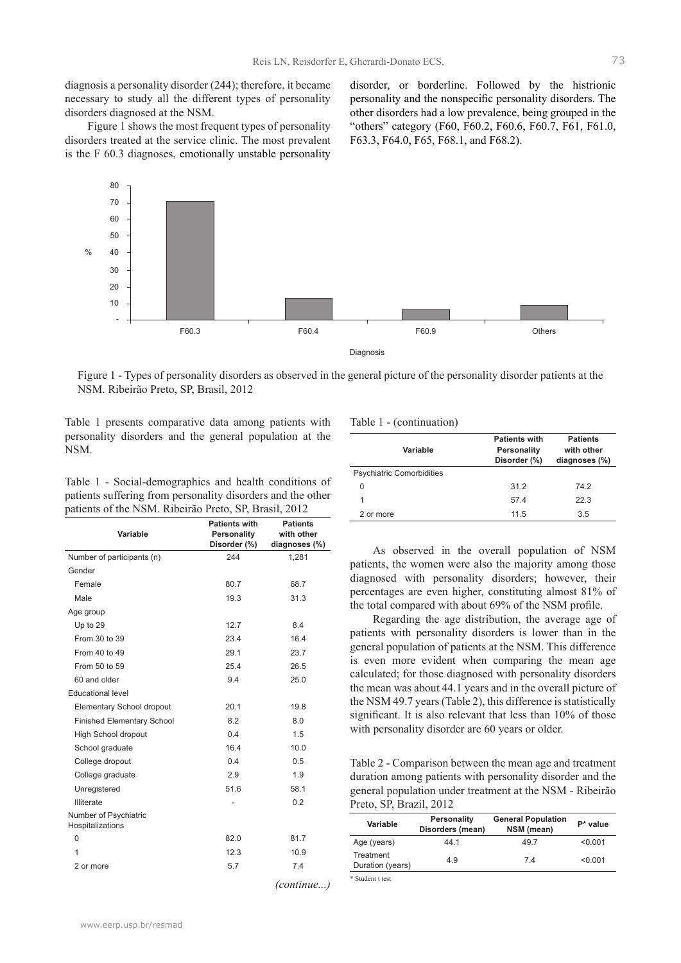diagnosis a personality disorder (244); therefore, it became necessary to study all the different types of personality disorders diagnosed at the NSM.

Figure 1 shows the most frequent types of personality disorders treated at the service clinic. The most prevalent is the F 60.3 diagnoses, emotionally unstable personality

disorder, or borderline. Followed by the histrionic personality and the nonspecific personality disorders. The other disorders had a low prevalence, being grouped in the "others" category (F60, F60.2, F60.6, F60.7, F61, F61.0, F63.3, F64.0, F65, F68.1, and F68.2).



Figure 1 - Types of personality disorders as observed in the general picture of the personality disorder patients at the NSM. Ribeirão Preto, SP, Brasil, 2012

Table 1 presents comparative data among patients with personality disorders and the general population at the NSM. **Variable**

Table 1 - Social-demographics and health conditions of patients suffering from personality disorders and the other patients of the NSM. Ribeirão Preto, SP, Brasil, 2012

| Variable                                  | <b>Patients with</b><br>Personality<br>Disorder (%) | <b>Patients</b><br>with other<br>diagnoses (%) |
|-------------------------------------------|-----------------------------------------------------|------------------------------------------------|
| Number of participants (n)                | 244                                                 | 1,281                                          |
| Gender                                    |                                                     |                                                |
| Female                                    | 80.7                                                | 68.7                                           |
| Male                                      | 19.3                                                | 31.3                                           |
| Age group                                 |                                                     |                                                |
| Up to 29                                  | 12.7                                                | 8.4                                            |
| From 30 to 39                             | 23.4                                                | 16.4                                           |
| From 40 to 49                             | 29.1                                                | 23.7                                           |
| From 50 to 59                             | 25.4                                                | 26.5                                           |
| 60 and older                              | 9.4                                                 | 25.0                                           |
| <b>Educational level</b>                  |                                                     |                                                |
| Elementary School dropout                 | 20.1                                                | 19.8                                           |
| <b>Finished Elementary School</b>         | 8.2                                                 | 8.0                                            |
| High School dropout                       | 0.4                                                 | 1.5                                            |
| School graduate                           | 16.4                                                | 10.0                                           |
| College dropout                           | 0.4                                                 | 0.5                                            |
| College graduate                          | 2.9                                                 | 1.9                                            |
| Unregistered                              | 51.6                                                | 58.1                                           |
| Illiterate                                |                                                     | 0.2                                            |
| Number of Psychiatric<br>Hospitalizations |                                                     |                                                |
| $\Omega$                                  | 82.0                                                | 81.7                                           |
| 1                                         | 12.3                                                | 10.9                                           |
| 2 or more                                 | 5.7                                                 | 7.4                                            |
|                                           |                                                     | $\sqrt{2}$                                     |

#### Table 1 - (continuation)

| Variable                  | <b>Patients with</b><br>Personality<br>Disorder (%) | <b>Patients</b><br>with other<br>diagnoses (%) |
|---------------------------|-----------------------------------------------------|------------------------------------------------|
| Psychiatric Comorbidities |                                                     |                                                |
| 0                         | 31.2                                                | 74.2                                           |
|                           | 57.4                                                | 22.3                                           |
| 2 or more                 | 11.5                                                | 3.5                                            |

As observed in the overall population of NSM patients, the women were also the majority among those diagnosed with personality disorders; however, their percentages are even higher, constituting almost 81% of the total compared with about 69% of the NSM profile.

Regarding the age distribution, the average age of patients with personality disorders is lower than in the general population of patients at the NSM. This difference is even more evident when comparing the mean age calculated; for those diagnosed with personality disorders the mean was about 44.1 years and in the overall picture of the NSM 49.7 years (Table 2), this difference is statistically significant. It is also relevant that less than 10% of those with personality disorder are 60 years or older.

Table 2 - Comparison between the mean age and treatment duration among patients with personality disorder and the general population under treatment at the NSM - Ribeirão Preto, SP, Brazil, 2012

| Variable                      | <b>Personality</b><br>Disorders (mean) | <b>General Population</b><br>NSM (mean) | $P^*$ value |
|-------------------------------|----------------------------------------|-----------------------------------------|-------------|
| Age (years)                   | 44 1                                   | 49.7                                    | < 0.001     |
| Treatment<br>Duration (years) | 4.9                                    | 74                                      | < 0.001     |
| * Student t test              |                                        |                                         |             |

*(continue...)*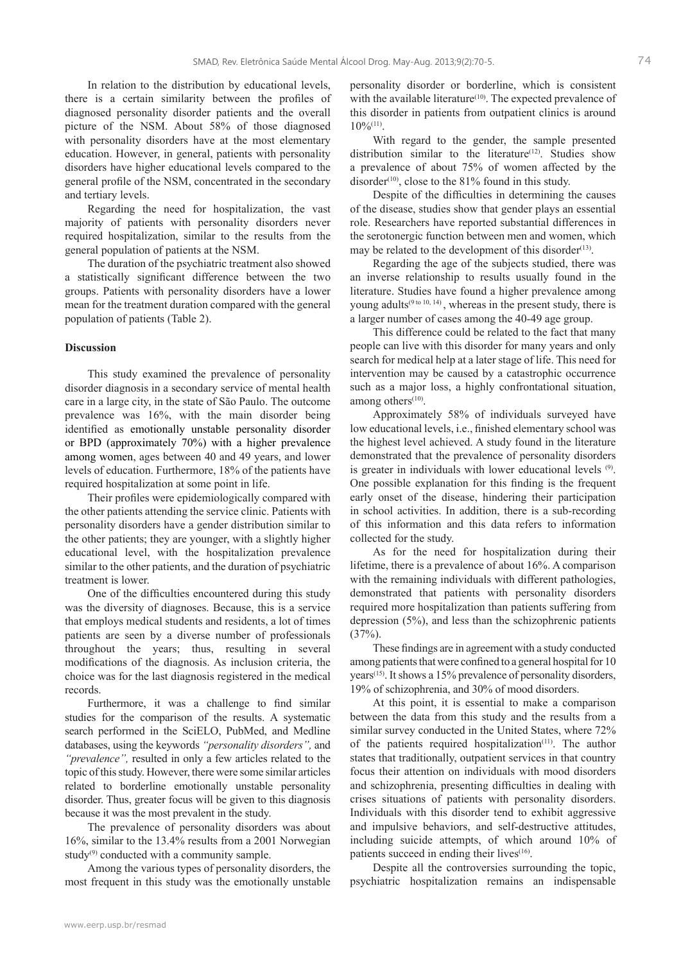In relation to the distribution by educational levels, there is a certain similarity between the profiles of diagnosed personality disorder patients and the overall picture of the NSM. About 58% of those diagnosed with personality disorders have at the most elementary education. However, in general, patients with personality disorders have higher educational levels compared to the general profile of the NSM, concentrated in the secondary and tertiary levels.

Regarding the need for hospitalization, the vast majority of patients with personality disorders never required hospitalization, similar to the results from the general population of patients at the NSM.

The duration of the psychiatric treatment also showed a statistically significant difference between the two groups. Patients with personality disorders have a lower mean for the treatment duration compared with the general population of patients (Table 2).

#### **Discussion**

This study examined the prevalence of personality disorder diagnosis in a secondary service of mental health care in a large city, in the state of São Paulo. The outcome prevalence was 16%, with the main disorder being identified as emotionally unstable personality disorder or BPD (approximately 70%) with a higher prevalence among women, ages between 40 and 49 years, and lower levels of education. Furthermore, 18% of the patients have required hospitalization at some point in life.

Their profiles were epidemiologically compared with the other patients attending the service clinic. Patients with personality disorders have a gender distribution similar to the other patients; they are younger, with a slightly higher educational level, with the hospitalization prevalence similar to the other patients, and the duration of psychiatric treatment is lower.

One of the difficulties encountered during this study was the diversity of diagnoses. Because, this is a service that employs medical students and residents, a lot of times patients are seen by a diverse number of professionals throughout the years; thus, resulting in several modifications of the diagnosis. As inclusion criteria, the choice was for the last diagnosis registered in the medical records.

Furthermore, it was a challenge to find similar studies for the comparison of the results. A systematic search performed in the SciELO, PubMed, and Medline databases, using the keywords *"personality disorders",* and *"prevalence",* resulted in only a few articles related to the topic of this study. However, there were some similar articles related to borderline emotionally unstable personality disorder. Thus, greater focus will be given to this diagnosis because it was the most prevalent in the study.

The prevalence of personality disorders was about 16%, similar to the 13.4% results from a 2001 Norwegian study<sup>(9)</sup> conducted with a community sample.

Among the various types of personality disorders, the most frequent in this study was the emotionally unstable personality disorder or borderline, which is consistent with the available literature $(10)$ . The expected prevalence of this disorder in patients from outpatient clinics is around  $10\%^{(11)}$ 

With regard to the gender, the sample presented distribution similar to the literature<sup>(12)</sup>. Studies show a prevalence of about 75% of women affected by the disorder<sup> $(10)$ </sup>, close to the 81% found in this study.

Despite of the difficulties in determining the causes of the disease, studies show that gender plays an essential role. Researchers have reported substantial differences in the serotonergic function between men and women, which may be related to the development of this disorder<sup> $(13)$ </sup>.

Regarding the age of the subjects studied, there was an inverse relationship to results usually found in the literature. Studies have found a higher prevalence among young adults<sup>(9 to 10, 14)</sup>, whereas in the present study, there is a larger number of cases among the 40-49 age group.

This difference could be related to the fact that many people can live with this disorder for many years and only search for medical help at a later stage of life. This need for intervention may be caused by a catastrophic occurrence such as a major loss, a highly confrontational situation, among others $(10)$ .

Approximately 58% of individuals surveyed have low educational levels, i.e., finished elementary school was the highest level achieved. A study found in the literature demonstrated that the prevalence of personality disorders is greater in individuals with lower educational levels (9). One possible explanation for this finding is the frequent early onset of the disease, hindering their participation in school activities. In addition, there is a sub-recording of this information and this data refers to information collected for the study.

As for the need for hospitalization during their lifetime, there is a prevalence of about 16%. A comparison with the remaining individuals with different pathologies, demonstrated that patients with personality disorders required more hospitalization than patients suffering from depression (5%), and less than the schizophrenic patients  $(37%)$ .

These findings are in agreement with a study conducted among patients that were confined to a general hospital for 10 years<sup>(15)</sup>. It shows a 15% prevalence of personality disorders, 19% of schizophrenia, and 30% of mood disorders.

At this point, it is essential to make a comparison between the data from this study and the results from a similar survey conducted in the United States, where 72% of the patients required hospitalization<sup>(11)</sup>. The author states that traditionally, outpatient services in that country focus their attention on individuals with mood disorders and schizophrenia, presenting difficulties in dealing with crises situations of patients with personality disorders. Individuals with this disorder tend to exhibit aggressive and impulsive behaviors, and self-destructive attitudes, including suicide attempts, of which around 10% of patients succeed in ending their lives $(16)$ .

Despite all the controversies surrounding the topic, psychiatric hospitalization remains an indispensable